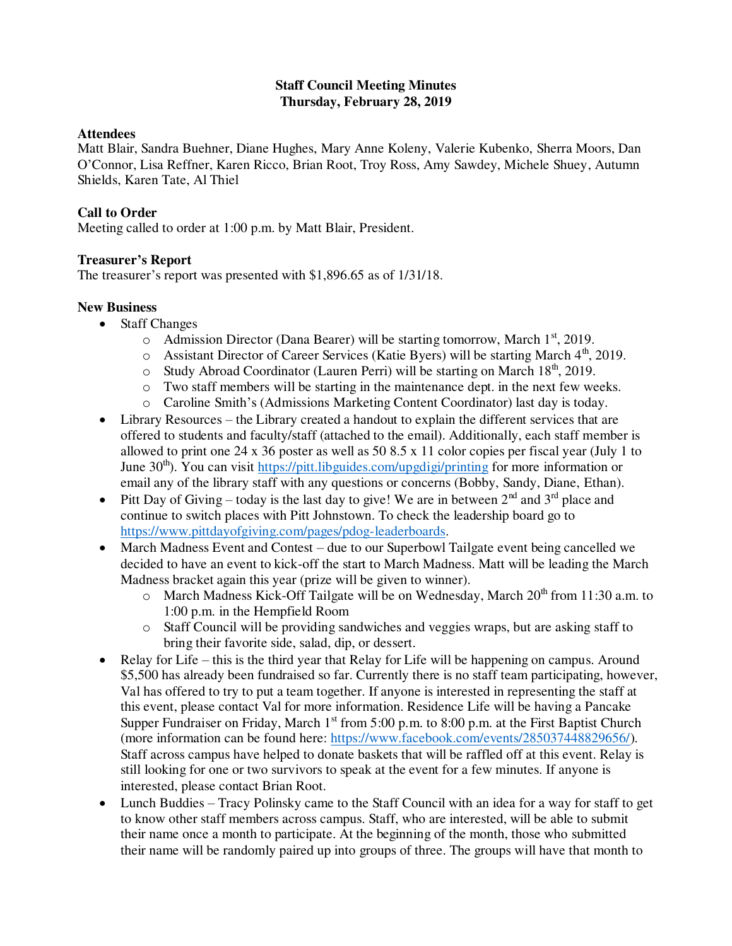#### **Staff Council Meeting Minutes Thursday, February 28, 2019**

#### **Attendees**

Matt Blair, Sandra Buehner, Diane Hughes, Mary Anne Koleny, Valerie Kubenko, Sherra Moors, Dan O'Connor, Lisa Reffner, Karen Ricco, Brian Root, Troy Ross, Amy Sawdey, Michele Shuey, Autumn Shields, Karen Tate, Al Thiel

# **Call to Order**

Meeting called to order at 1:00 p.m. by Matt Blair, President.

# **Treasurer's Report**

The treasurer's report was presented with \$1,896.65 as of 1/31/18.

# **New Business**

- Staff Changes
	- $\circ$  Admission Director (Dana Bearer) will be starting tomorrow, March 1<sup>st</sup>, 2019.
	- $\circ$  Assistant Director of Career Services (Katie Byers) will be starting March 4<sup>th</sup>, 2019.
	- $\circ$  Study Abroad Coordinator (Lauren Perri) will be starting on March 18<sup>th</sup>, 2019.
	- o Two staff members will be starting in the maintenance dept. in the next few weeks.
	- o Caroline Smith's (Admissions Marketing Content Coordinator) last day is today.
- Library Resources the Library created a handout to explain the different services that are offered to students and faculty/staff (attached to the email). Additionally, each staff member is allowed to print one 24 x 36 poster as well as 50 8.5 x 11 color copies per fiscal year (July 1 to June  $30<sup>th</sup>$ ). You can visit<https://pitt.libguides.com/upgdigi/printing>for more information or email any of the library staff with any questions or concerns (Bobby, Sandy, Diane, Ethan).
- Pitt Day of Giving today is the last day to give! We are in between  $2^{nd}$  and  $3^{rd}$  place and continue to switch places with Pitt Johnstown. To check the leadership board go to [https://www.pittdayofgiving.com/pages/pdog-leaderboards.](https://www.pittdayofgiving.com/pages/pdog-leaderboards)
- March Madness Event and Contest due to our Superbowl Tailgate event being cancelled we decided to have an event to kick-off the start to March Madness. Matt will be leading the March Madness bracket again this year (prize will be given to winner).
	- $\circ$  March Madness Kick-Off Tailgate will be on Wednesday, March 20<sup>th</sup> from 11:30 a.m. to 1:00 p.m. in the Hempfield Room
	- o Staff Council will be providing sandwiches and veggies wraps, but are asking staff to bring their favorite side, salad, dip, or dessert.
- Relay for Life this is the third year that Relay for Life will be happening on campus. Around \$5,500 has already been fundraised so far. Currently there is no staff team participating, however, Val has offered to try to put a team together. If anyone is interested in representing the staff at this event, please contact Val for more information. Residence Life will be having a Pancake Supper Fundraiser on Friday, March  $1<sup>st</sup>$  from 5:00 p.m. to 8:00 p.m. at the First Baptist Church (more information can be found here: [https://www.facebook.com/events/285037448829656/\)](https://www.facebook.com/events/285037448829656/). Staff across campus have helped to donate baskets that will be raffled off at this event. Relay is still looking for one or two survivors to speak at the event for a few minutes. If anyone is interested, please contact Brian Root.
- Lunch Buddies Tracy Polinsky came to the Staff Council with an idea for a way for staff to get to know other staff members across campus. Staff, who are interested, will be able to submit their name once a month to participate. At the beginning of the month, those who submitted their name will be randomly paired up into groups of three. The groups will have that month to